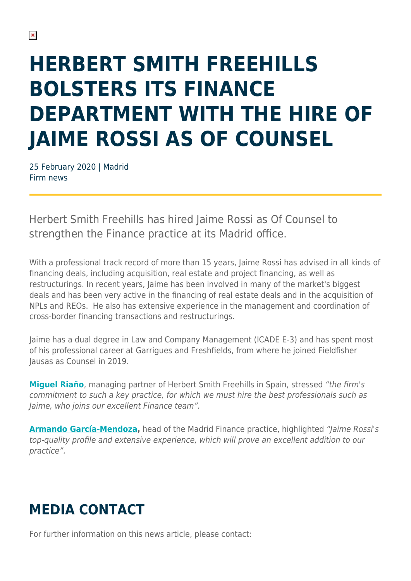## **HERBERT SMITH FREEHILLS BOLSTERS ITS FINANCE DEPARTMENT WITH THE HIRE OF JAIME ROSSI AS OF COUNSEL**

25 February 2020 | Madrid Firm news

Herbert Smith Freehills has hired Jaime Rossi as Of Counsel to strengthen the Finance practice at its Madrid office.

With a professional track record of more than 15 years, Jaime Rossi has advised in all kinds of financing deals, including acquisition, real estate and project financing, as well as restructurings. In recent years, Jaime has been involved in many of the market's biggest deals and has been very active in the financing of real estate deals and in the acquisition of NPLs and REOs. He also has extensive experience in the management and coordination of cross-border financing transactions and restructurings.

Jaime has a dual degree in Law and Company Management (ICADE E-3) and has spent most of his professional career at Garrigues and Freshfields, from where he joined Fieldfisher Jausas as Counsel in 2019.

**[Miguel Riaño](https://www.herbertsmithfreehills.com/our-people/miguel-ria%C3%B1o)**, managing partner of Herbert Smith Freehills in Spain, stressed "the firm's commitment to such a key practice, for which we must hire the best professionals such as Jaime, who joins our excellent Finance team".

**[Armando García-Mendoza](https://www.herbertsmithfreehills.com/our-people/armando-garc%C3%ADa-mendoza),** head of the Madrid Finance practice, highlighted "Jaime Rossi's top-quality profile and extensive experience, which will prove an excellent addition to our practice".

## **MEDIA CONTACT**

For further information on this news article, please contact: